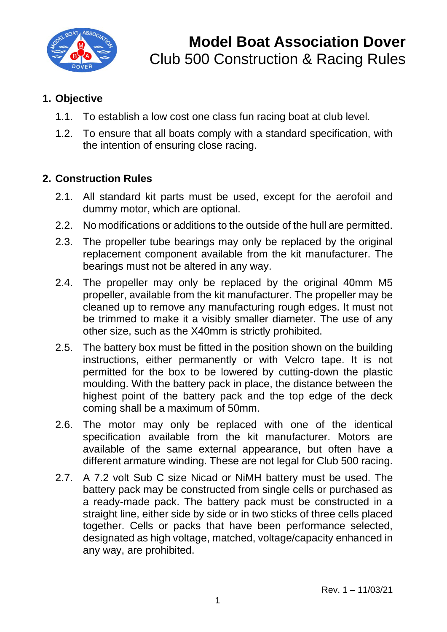

#### **1. Objective**

- 1.1. To establish a low cost one class fun racing boat at club level.
- 1.2. To ensure that all boats comply with a standard specification, with the intention of ensuring close racing.

#### **2. Construction Rules**

- 2.1. All standard kit parts must be used, except for the aerofoil and dummy motor, which are optional.
- 2.2. No modifications or additions to the outside of the hull are permitted.
- 2.3. The propeller tube bearings may only be replaced by the original replacement component available from the kit manufacturer. The bearings must not be altered in any way.
- 2.4. The propeller may only be replaced by the original 40mm M5 propeller, available from the kit manufacturer. The propeller may be cleaned up to remove any manufacturing rough edges. It must not be trimmed to make it a visibly smaller diameter. The use of any other size, such as the X40mm is strictly prohibited.
- 2.5. The battery box must be fitted in the position shown on the building instructions, either permanently or with Velcro tape. It is not permitted for the box to be lowered by cutting-down the plastic moulding. With the battery pack in place, the distance between the highest point of the battery pack and the top edge of the deck coming shall be a maximum of 50mm.
- 2.6. The motor may only be replaced with one of the identical specification available from the kit manufacturer. Motors are available of the same external appearance, but often have a different armature winding. These are not legal for Club 500 racing.
- 2.7. A 7.2 volt Sub C size Nicad or NiMH battery must be used. The battery pack may be constructed from single cells or purchased as a ready-made pack. The battery pack must be constructed in a straight line, either side by side or in two sticks of three cells placed together. Cells or packs that have been performance selected, designated as high voltage, matched, voltage/capacity enhanced in any way, are prohibited.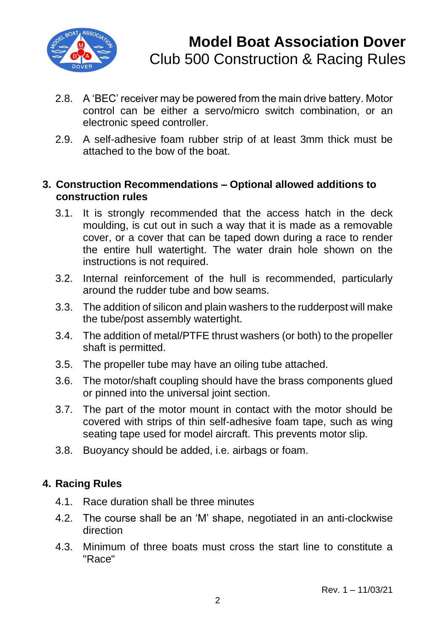

- 2.8. A 'BEC' receiver may be powered from the main drive battery. Motor control can be either a servo/micro switch combination, or an electronic speed controller.
- 2.9. A self-adhesive foam rubber strip of at least 3mm thick must be attached to the bow of the boat.

#### **3. Construction Recommendations – Optional allowed additions to construction rules**

- 3.1. It is strongly recommended that the access hatch in the deck moulding, is cut out in such a way that it is made as a removable cover, or a cover that can be taped down during a race to render the entire hull watertight. The water drain hole shown on the instructions is not required.
- 3.2. Internal reinforcement of the hull is recommended, particularly around the rudder tube and bow seams.
- 3.3. The addition of silicon and plain washers to the rudderpost will make the tube/post assembly watertight.
- 3.4. The addition of metal/PTFE thrust washers (or both) to the propeller shaft is permitted.
- 3.5. The propeller tube may have an oiling tube attached.
- 3.6. The motor/shaft coupling should have the brass components glued or pinned into the universal joint section.
- 3.7. The part of the motor mount in contact with the motor should be covered with strips of thin self-adhesive foam tape, such as wing seating tape used for model aircraft. This prevents motor slip.
- 3.8. Buoyancy should be added, i.e. airbags or foam.

## **4. Racing Rules**

- 4.1. Race duration shall be three minutes
- 4.2. The course shall be an 'M' shape, negotiated in an anti-clockwise direction
- 4.3. Minimum of three boats must cross the start line to constitute a "Race"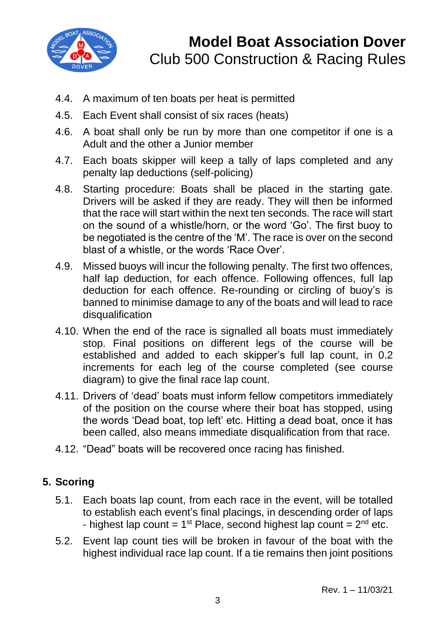

- 4.4. A maximum of ten boats per heat is permitted
- 4.5. Each Event shall consist of six races (heats)
- 4.6. A boat shall only be run by more than one competitor if one is a Adult and the other a Junior member
- 4.7. Each boats skipper will keep a tally of laps completed and any penalty lap deductions (self-policing)
- 4.8. Starting procedure: Boats shall be placed in the starting gate. Drivers will be asked if they are ready. They will then be informed that the race will start within the next ten seconds. The race will start on the sound of a whistle/horn, or the word 'Go'. The first buoy to be negotiated is the centre of the 'M'. The race is over on the second blast of a whistle, or the words 'Race Over'.
- 4.9. Missed buoys will incur the following penalty. The first two offences, half lap deduction, for each offence. Following offences, full lap deduction for each offence. Re-rounding or circling of buoy's is banned to minimise damage to any of the boats and will lead to race disqualification
- 4.10. When the end of the race is signalled all boats must immediately stop. Final positions on different legs of the course will be established and added to each skipper's full lap count, in 0.2 increments for each leg of the course completed (see course diagram) to give the final race lap count.
- 4.11. Drivers of 'dead' boats must inform fellow competitors immediately of the position on the course where their boat has stopped, using the words 'Dead boat, top left' etc. Hitting a dead boat, once it has been called, also means immediate disqualification from that race.
- 4.12. "Dead" boats will be recovered once racing has finished.

## **5. Scoring**

- 5.1. Each boats lap count, from each race in the event, will be totalled to establish each event's final placings, in descending order of laps - highest lap count =  $1<sup>st</sup>$  Place, second highest lap count =  $2<sup>nd</sup>$  etc.
- 5.2. Event lap count ties will be broken in favour of the boat with the highest individual race lap count. If a tie remains then joint positions